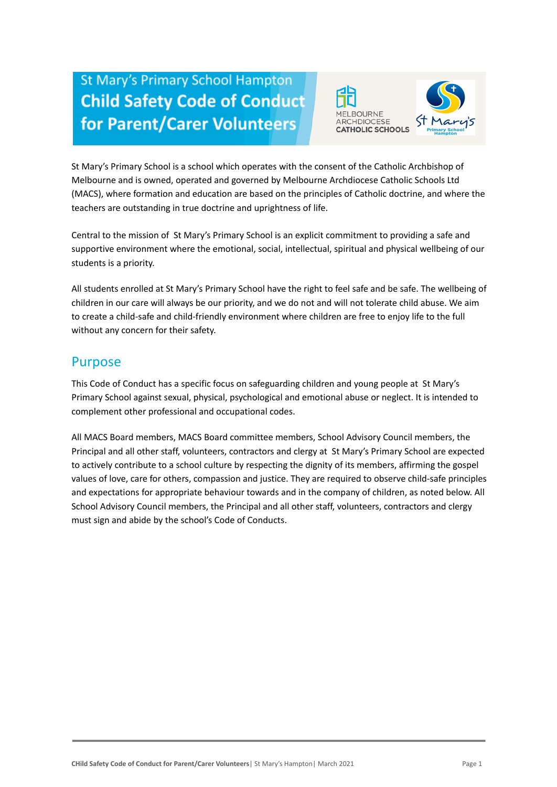# **St Mary's Primary School Hampton Child Safety Code of Conduct** for Parent/Carer Volunteers



St Mary's Primary School is a school which operates with the consent of the Catholic Archbishop of Melbourne and is owned, operated and governed by Melbourne Archdiocese Catholic Schools Ltd (MACS), where formation and education are based on the principles of Catholic doctrine, and where the teachers are outstanding in true doctrine and uprightness of life.

Central to the mission of St Mary's Primary School is an explicit commitment to providing a safe and supportive environment where the emotional, social, intellectual, spiritual and physical wellbeing of our students is a priority.

All students enrolled at St Mary's Primary School have the right to feel safe and be safe. The wellbeing of children in our care will always be our priority, and we do not and will not tolerate child abuse. We aim to create a child-safe and child-friendly environment where children are free to enjoy life to the full without any concern for their safety.

#### Purpose

This Code of Conduct has a specific focus on safeguarding children and young people at St Mary's Primary School against sexual, physical, psychological and emotional abuse or neglect. It is intended to complement other professional and occupational codes.

All MACS Board members, MACS Board committee members, School Advisory Council members, the Principal and all other staff, volunteers, contractors and clergy at St Mary's Primary School are expected to actively contribute to a school culture by respecting the dignity of its members, affirming the gospel values of love, care for others, compassion and justice. They are required to observe child-safe principles and expectations for appropriate behaviour towards and in the company of children, as noted below. All School Advisory Council members, the Principal and all other staff, volunteers, contractors and clergy must sign and abide by the school's Code of Conducts.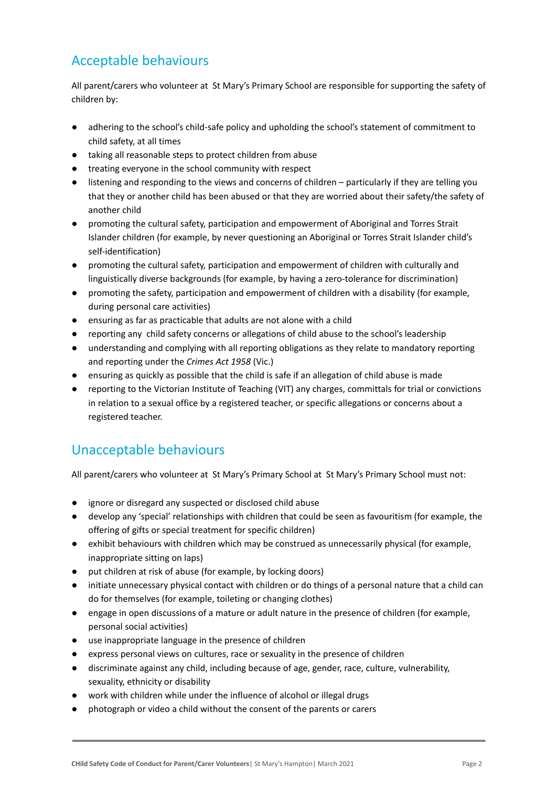## Acceptable behaviours

All parent/carers who volunteer at St Mary's Primary School are responsible for supporting the safety of children by:

- adhering to the school's child-safe policy and upholding the school's statement of commitment to child safety, at all times
- taking all reasonable steps to protect children from abuse
- treating everyone in the school community with respect
- listening and responding to the views and concerns of children particularly if they are telling you that they or another child has been abused or that they are worried about their safety/the safety of another child
- promoting the cultural safety, participation and empowerment of Aboriginal and Torres Strait Islander children (for example, by never questioning an Aboriginal or Torres Strait Islander child's self-identification)
- promoting the cultural safety, participation and empowerment of children with culturally and linguistically diverse backgrounds (for example, by having a zero-tolerance for discrimination)
- promoting the safety, participation and empowerment of children with a disability (for example, during personal care activities)
- ensuring as far as practicable that adults are not alone with a child
- reporting any child safety concerns or allegations of child abuse to the school's leadership
- understanding and complying with all reporting obligations as they relate to mandatory reporting and reporting under the *Crimes Act 1958* (Vic.)
- ensuring as quickly as possible that the child is safe if an allegation of child abuse is made
- reporting to the Victorian Institute of Teaching (VIT) any charges, committals for trial or convictions in relation to a sexual office by a registered teacher, or specific allegations or concerns about a registered teacher.

### Unacceptable behaviours

All parent/carers who volunteer at St Mary's Primary School at St Mary's Primary School must not:

- ignore or disregard any suspected or disclosed child abuse
- develop any 'special' relationships with children that could be seen as favouritism (for example, the offering of gifts or special treatment for specific children)
- exhibit behaviours with children which may be construed as unnecessarily physical (for example, inappropriate sitting on laps)
- put children at risk of abuse (for example, by locking doors)
- initiate unnecessary physical contact with children or do things of a personal nature that a child can do for themselves (for example, toileting or changing clothes)
- engage in open discussions of a mature or adult nature in the presence of children (for example, personal social activities)
- use inappropriate language in the presence of children
- express personal views on cultures, race or sexuality in the presence of children
- discriminate against any child, including because of age, gender, race, culture, vulnerability, sexuality, ethnicity or disability
- work with children while under the influence of alcohol or illegal drugs
- photograph or video a child without the consent of the parents or carers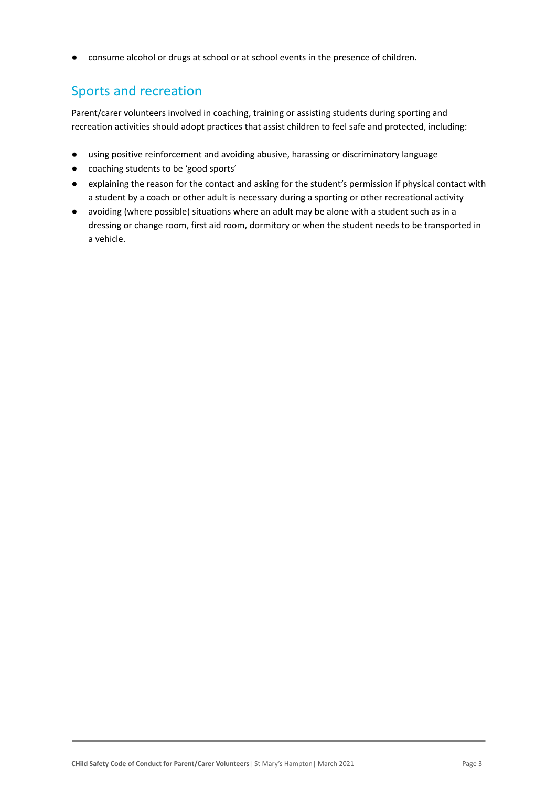● consume alcohol or drugs at school or at school events in the presence of children.

## Sports and recreation

Parent/carer volunteers involved in coaching, training or assisting students during sporting and recreation activities should adopt practices that assist children to feel safe and protected, including:

- using positive reinforcement and avoiding abusive, harassing or discriminatory language
- coaching students to be 'good sports'
- explaining the reason for the contact and asking for the student's permission if physical contact with a student by a coach or other adult is necessary during a sporting or other recreational activity
- avoiding (where possible) situations where an adult may be alone with a student such as in a dressing or change room, first aid room, dormitory or when the student needs to be transported in a vehicle.